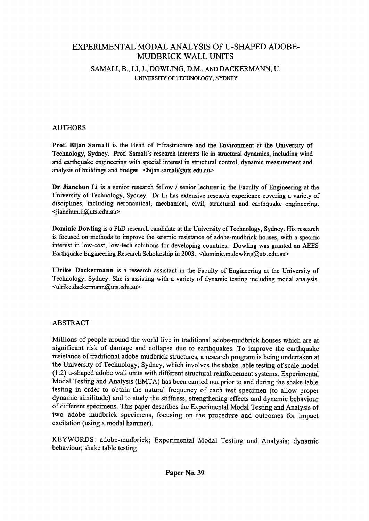# EXPERIMENTAL MODAL ANALYSIS OF U-SHAPED ADOBE-MUDBRICK WALL UNITS SAMALI, B., LI, 1., DOWLING, D.M., AND DACKERMANN, U. UNIVERSITY OF TECHNOLOGY, SYDNEY

## AUTHORS

Prof. Bijan Samali is the Head of Infrastructure and the Environment at the University of Technology, Sydney. Prof. Samali's research interests lie in structural dynamics, including wind and earthquake engineering with special interest in structural control, dynamic measurement and analysis of buildings and bridges.  $\langle$ bijan.samali@uts.edu.au>

Dr Jianchun Li is a senior research fellow / senior lecturer in the Faculty of Engineering at the University of Technology, Sydney. Dr Li has extensive research experience covering a variety of disciplines, including aeronautical, mechanical, civil, structural and earthquake engineering. <jianchun.li@uts.edu.au>

Dominic Dowling is a PhD research candidate at the University of Technology, Sydney. His research is focused on methods to improve the seismic resistance of adobe-mudbrick houses, with a specific interest in low-cost, low-tech solutions for developing countries. Dowling was granted an AEES Earthquake Engineering Research Scholarship in 2003. <dominic.m.dowling@uts.edu.au>

Ulrike Dackermann is a research assistant in the Faculty of Engineering at the University of Technology, Sydney. She is assisting with a variety of dynamic testing including modal analysis. <ulrike.dackermann@uts.edu.au>

#### ABSTRACT

Millions of people around the world live in traditional adobe-mudbrick houses which are at significant risk of damage and collapse due to earthquakes. To improve the earthquake resistance of traditional adobe-mudbrick structures, a research program is being undertaken at the University of Technology, Sydney, which involves the shake .able testing of scale model (l :2) u-shaped adobe wall units with different structural reinforcement systems. Experimental Modal Testing and Analysis (EMTA) has been carried out prior to and during the shake table testing in order to obtain the natural frequency of each test specimen (to allow proper dynamic similitude) and to study the stiffness, strengthening effects and dynamic behaviour of different specimens. This paper describes the Experimental Modal Testing and Analysis of two adobe-mudbrick specimens, focusing on the procedure and outcomes for impact excitation (using a modal hammer).

KEYWORDS: adobe-mudbrick; Experimental Modal Testing and Analysis; dynamic behaviour; shake table testing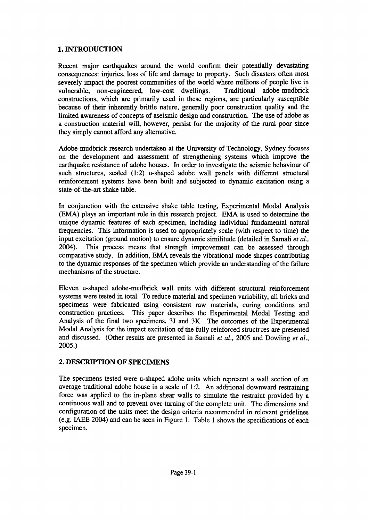## 1. INTRODUCTION

Recent major earthquakes around the world confirm their potentially devastating consequences: injuries, loss of life and damage to property. Such disasters often most severely impact the poorest communities of the world where millions of people live in vulnerable, non-engineered, low-cost dwellings. Traditional adobe-mudbrick constructions, which are primarily used in these regions, are particularly susceptible because of their inherently brittle nature, generally poor construction quality and the limited awareness of concepts of aseismic design and construction. The use of adobe as a construction material will, however, persist for the majority of the rural poor since they simply cannot afford any alternative.

Adobe-mudbrick research undertaken at the University of Technology, Sydney focuses on the development and assessment of strengthening systems which improve the earthquake resistance of adobe houses. In order to investigate the seismic behaviour of such structures, scaled (1:2) u-shaped adobe wall panels with different structural reinforcement systems have been built and subjected to dynamic excitation using a state-of-the-art shake table.

In conjunction with the extensive shake table testing, Experimental Modal Analysis (EMA) plays an important role in this research project. EMA is used to determine the unique dynamic features of each specimen, including individual fundamental natural frequencies. This information is used to appropriately scale (with respect to time) the input excitation (ground motion) to ensure dynamic similitude (detailed in Samali *et al.,* 2004). This process means that strength improvement can be assessed through comparative study. In addition, EMA reveals the vibrational mode shapes contributing to the dynamic responses of the specimen which provide an understanding of the failure mechanisms of the structure.

Eleven u-shaped adobe-mudbrick wall units with different structural reinforcement systems were tested in total. To reduce material and specimen variability, all bricks and specimens were fabricated using consistent raw materials, curing conditions and construction practices. This paper describes the Experimental Modal Testing and Analysis of the final two specimens, 3J and 3K. The outcomes of the Experimental Modal Analysis for the impact excitation of the fully reinforced structures are presented and discussed. (Other results are presented in Samali *et al.,* 2005 and Dowling *et al.,* 2005.)

## 2. DESCRIPTION OF SPECIMENS

The specimens tested were u-shaped adobe units which represent a wall section of an average traditional adobe house in a scale of 1:2. An additional downward restraining force was applied to the in-plane shear walls to simulate the restraint provided by a continuous wall and to prevent over-turning of the complete unit. The dimensions and configuration of the units meet the design criteria recommended in relevant guidelines (e.g. IAEE 2004) and can be seen in Figure 1. Table 1 shows the specifications of each specimen.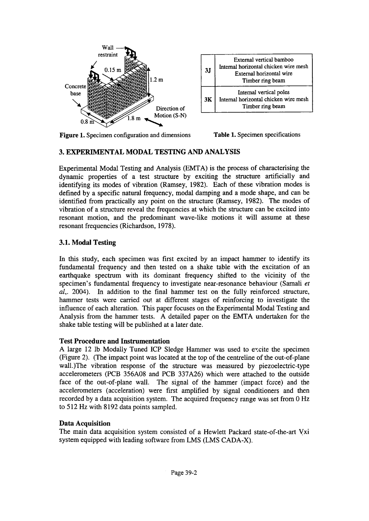

| 3 <sub>I</sub> | External vertical bamboo<br>Internal horizontal chicken wire mesh<br>External horizontal wire<br>Timber ring beam |
|----------------|-------------------------------------------------------------------------------------------------------------------|
| 3К             | Internal vertical poles<br>Internal horizontal chicken wire mesh<br>Timber ring beam                              |

Figure 1. Specimen configuration and dimensions

Table 1. Specimen specifications

#### 3. EXPERIMENTAL MODAL TESTING AND ANALYSIS

Experimental Modal Testing and Analysis (EMTA) is the process of characterising the dynamic properties of a test structure by exciting the structure artificially and identifying its modes of vibration (Ramsey, 1982). Each of these vibration modes is defined by a specific natural frequency, modal damping and a mode shape, and can be identified from practically any point on the structure (Ramsey, 1982). The modes of vibration of a structure reveal the frequencies at which the structure can be excited into resonant motion, and the predominant wave-like motions it will assume at these resonant frequencies (Richardson, 1978).

#### 3.1. Modal Testing

In this study, each specimen was first excited by an impact hammer to identify its fundamental frequency and then tested on a shake table with the excitation of an earthquake spectrum with its dominant frequency shifted to the vicinity of the specimen's fundamental frequency to investigate near-resonance behaviour (Samali *et al..* 2004). In addition to the final hammer test on the fully reinforced structure, hammer tests were carried out at different stages of reinforcing to investigate the influence of each alteration. This paper focuses on the Experimental Modal Testing and Analysis from the hammer tests. A detailed paper on the EMTA undertaken for the shake table testing will be published at a later date.

#### Test Procedure and Instrumentation

A large 12 lb Modally Tuned ICP Sledge Hammer was used to excite the specimen (Figure 2). (The impact point was located at the top of the centreline of the out-of-plane wall.)The vibration response of the structure was measured by piezoelectric-type accelerometers (PCB 356A08 and PCB 337A26) which were attached to the outside face of the out-of-plane wall. The signal of the hammer (impact force) and the accelerometers (acceleration) were first amplified by signal conditioners and then recorded by a data acquisition system. The acquired frequency range was set from 0 Hz to 512 Hz with 8192 data points sampled.

## Data Acquisition

The main data acquisition system consisted of a Hewlett Packard state-of-the-art Vxi system equipped with leading software from LMS (LMS CADA-X).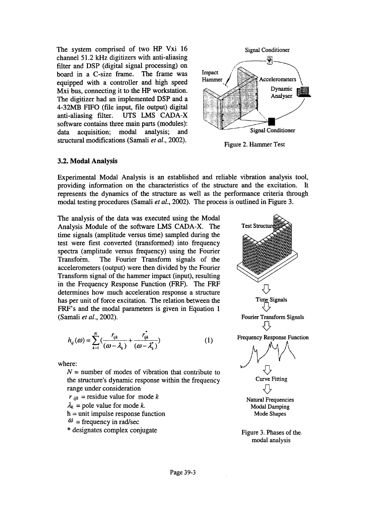The system comprised of two HP Vxi 16 channel 51.2 kHz digitizers with anti-aliasing filter and DSP (digital signal processing) on board in a C-size frame. The frame was equipped with a controller and high speed Mxi bus, connecting it to the HP workstation. The digitizer had an implemented DSP and a 4-32MB FIFO (file input, file output) digital anti-aliasing filter. UTS LMS CADA-X software contains three main parts (modules): data acquisition; modal analysis; and structural modifications (Samali *et al., 2002).*



Figure 2. Hammer Test

#### 3.2. Modal Analysis

Experimental Modal Analysis is an established and reliable vibration analysis tool, providing information on the characteristics of the structure and the excitation. It represents the dynamics of the structure as well as the performance criteria through modal testing procedures (Samali *et al.,* 2002). The process is outlined in Figure 3.

The analysis of the data was executed using the Modal Analysis Module of the software LMS CADA-X. The time signals (amplitude versus time) sampled during the test were first converted (transformed) into frequency spectra (amplitude versus frequency) using the Fourier Transform. The Fourier Transform signals of the accelerometers (output) were then divided by the Fourier Transform signal of the hammer impact (input), resulting in the Frequency Response Function (FRF). The FRF determines how much acceleration response a structure has per unit of force excitation. The relation between the FRF's and the modal parameters is given in Equation 1 (Samali *et al., 2002).*

$$
h_{ij}(\omega) = \sum_{k=1}^{N} \left( \frac{r_{ijk}}{(\omega - \lambda_k)} + \frac{r_{ijk}^{*}}{(\omega - \lambda_k^{*})} \right)
$$
 (1)

where:

 $N =$  number of modes of vibration that contribute to the structure's dynamic response within the frequency range under consideration

- $r_{ijk}$  = residue value for mode *k*
- $\lambda_k$  = pole value for mode *k*.
- $h =$  unit impulse response function
- $\omega$  = frequency in rad/sec
- \* designates complex conjugate



Figure 3. Phases of the. modal analysis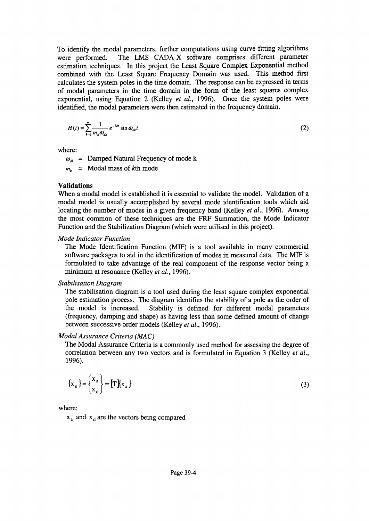To identify the modal parameters, further computations using curve fitting algorithms were performed. The LMS CADA-X software comprises different parameter estimation techniques. In this project the Least Square Complex Exponential method combined with the Least Square Frequency Domain was used. This method first calculates the system poles in the time domain. The response can be expressed in terms of modal parameters in the time domain in the form of the least squares complex exponential, using Equation 2 (Kelley *et al.,* 1996). Once the system poles were identified, the modal parameters were then estimated in the frequency domain.

$$
H(t) = \sum_{k=1}^{m} \frac{1}{m_k \omega_{ak}} e^{-\lambda kt} \sin \omega_{ak} t
$$
 (2)

where:

 $\omega_a$  = Damped Natural Frequency of mode k

 $m_k$  = Modal mass of kth mode

#### **Validations**

When a modal model is established it is essential to validate the model. Validation of a modal model is usually accomplished by several mode identification tools which aid locating the number of modes in a given frequency band (Kelley *et al.,* 1996). Among the most common of these techniques are the FRF Summation, the Mode Indicator Function and the Stabilization Diagram (which were utilised in this project).

#### *Mode Indicator Function*

The Mode Identification Function (MIF) is a tool available in many commercial software packages to aid in the identification of modes in measured data. The MIF is formulated to take advantage of the real component of the response vector being a minimum at resonance (Kelley *et al., 1996).*

#### *Stabilisation Diagram*

The stabilisation diagram is a tool used during the least square complex exponential pole estimation process. The diagram identifies the stability of a pole as the order of the model is increased. Stability is defined for different modal parameters (frequency, damping and shape) as having less than some defined amount of change between successive order models (Kelley *et al., 1996).*

#### *Modal Assurance Criteria (MAC)*

The Modal Assurance Criteria is a commonly used method for assessing the degree of correlation between any two vectors and is formulated in Equation 3 (Kelley *et al.,* 1996).

$$
\left\{ \mathbf{x}_{n} \right\} = \left\{ \mathbf{x}_{a} \atop \mathbf{x}_{d} \right\} = \left[ \mathbf{T} \right] \left\{ \mathbf{x}_{a} \right\} \tag{3}
$$

where:

 $x_a$  and  $x_d$  are the vectors being compared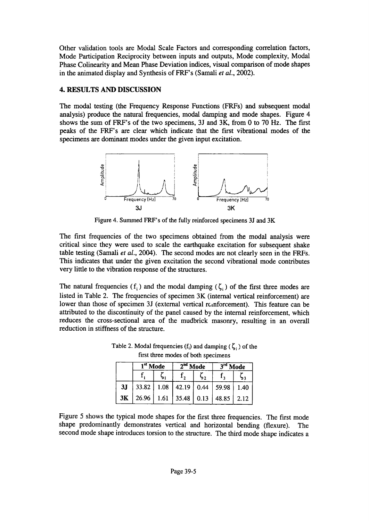Other validation tools are Modal Scale Factors and corresponding correlation factors, Mode Participation Reciprocity between inputs and outputs, Mode complexity, Modal Phase Colinearity and Mean Phase Deviation indices, visual comparison of mode shapes in the animated display and Synthesis of FRF's (Samali *et al., 2002).*

## 4. RESULTS AND DISCUSSION

The modal testing (the Frequency Response Functions (FRFs) and subsequent modal analysis) produce the natural frequencies, modal damping and mode shapes. Figure 4 shows the sum of FRF's of the two specimens, 31 and 3K, from 0 to 70 Hz. The first peaks of the FRF's are clear which indicate that the first vibrational modes of the specimens are dominant modes under the given input excitation.



Figure 4. Summed FRF's of the fully reinforced specimens 3J and 3K

The first frequencies of the two specimens obtained from the modal analysis were critical since they were used to scale the earthquake excitation for subsequent shake table testing (Samali *et al.,* 2004). The second modes are not clearly seen in the FRFs. This indicates that under the given excitation the second vibrational mode contributes very little to the vibration response of the structures.

The natural frequencies (f<sub>i</sub>) and the modal damping ( $\zeta$ <sub>i</sub>) of the first three modes are listed in Table 2. The frequencies of specimen 3K (internal vertical reinforcement) are lower than those of specimen 3J (external vertical rcmforcement). This feature can be attributed to the discontinuity of the panel caused by the internal reinforcement, which reduces the cross-sectional area of the mudbrick masonry, resulting in an overall reduction in stiffness of the structure.

|    | $\mathbf{I}^{\text{st}}$ Mode |  | $2nd$ Mode |  | -na<br>Mode                                |  |
|----|-------------------------------|--|------------|--|--------------------------------------------|--|
|    |                               |  |            |  |                                            |  |
| 3J | 33.82                         |  |            |  | $1.08$   42.19   0.44   59.98   1.40       |  |
| 3K |                               |  |            |  | 26.96   1.61   35.48   0.13   48.85   2.12 |  |

Table 2. Modal frequencies (f<sub>i</sub>) and damping ( $\zeta_i$ ) of the first three modes of both specimens

Figure 5 shows the typical mode shapes for the first three frequencies. The first mode shape predominantly demonstrates vertical and horizontal bending (flexure). The second mode shape introduces torsion to the structure. The third mode shape indicates a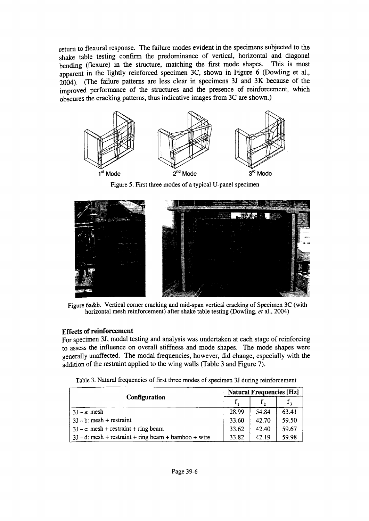return to flexural response. The failure modes evident in the specimens subjected to the shake table testing confirm the predominance of vertical, horizontal and diagonal bending (flexure) in the structure, matching the first mode shapes. This is most apparent in the lightly reinforced specimen 3C, shown in Figure 6 (Dowling et al., 2004). (The failure patterns are less clear in specimens 3J and 3K because of the improved performance of the structures and the presence of reinforcement, which obscures the cracking patterns, thus indicative images from 3C are shown.)



Figure 5. First three modes of a typical U-panel specimen



Figure 6a&b. Vertical comer cracking and mid-span vertical cracking of Specimen 3C (with horizontal mesh reinforcement) after shake table testing (Dowling, *et* al., 2004)

#### Effects of reinforcement

For specimen 31, modal testing and analysis was undertaken at each stage of reinforcing to assess the influence on overall stiffness and mode shapes. The mode shapes were generally unaffected. The modal frequencies, however, did change, especially with the addition of the restraint applied to the wing walls (Table 3 and Figure 7).

| Table 3. Natural frequencies of first three modes of specimen 3J during reinforcement |  |  |
|---------------------------------------------------------------------------------------|--|--|
|---------------------------------------------------------------------------------------|--|--|

| Configuration                                         |       | <b>Natural Frequencies [Hz]</b> |       |  |  |
|-------------------------------------------------------|-------|---------------------------------|-------|--|--|
|                                                       |       |                                 |       |  |  |
| $3J - a$ : mesh                                       | 28.99 | 54.84                           | 63.41 |  |  |
| $3J - b$ : mesh + restraint                           | 33.60 | 42.70                           | 59.50 |  |  |
| $3J - c$ : mesh + restraint + ring beam               |       | 42.40                           | 59.67 |  |  |
| $3J-d$ : mesh + restraint + ring beam + bamboo + wire |       | 42.19                           | 59.98 |  |  |